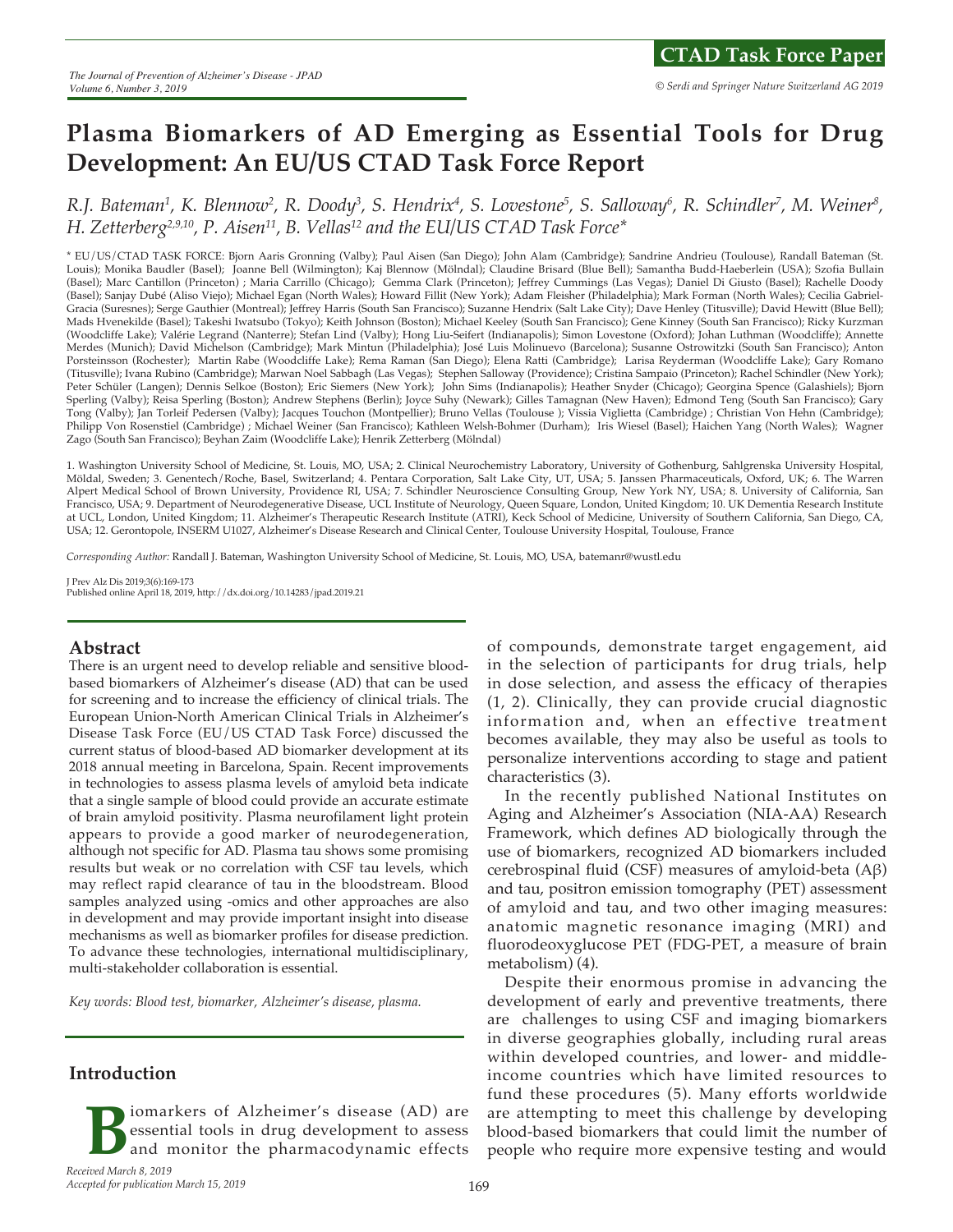# **Plasma Biomarkers of AD Emerging as Essential Tools for Drug Development: An EU/US CTAD Task Force Report**

R.J. Bateman<sup>1</sup>, K. Blennow<sup>2</sup>, R. Doody<sup>3</sup>, S. Hendrix<sup>4</sup>, S. Lovestone<sup>5</sup>, S. Salloway<sup>6</sup>, R. Schindler<sup>7</sup>, M. Weiner<sup>8</sup>, *H. Zetterberg2,9,10, P. Aisen11, B. Vellas12 and the EU/US CTAD Task Force\**

\* EU/US/CTAD TASK FORCE: Bjorn Aaris Gronning (Valby); Paul Aisen (San Diego); John Alam (Cambridge); Sandrine Andrieu (Toulouse), Randall Bateman (St. Louis); Monika Baudler (Basel); Joanne Bell (Wilmington); Kaj Blennow (Mölndal); Claudine Brisard (Blue Bell); Samantha Budd-Haeberlein (USA); Szofia Bullain (Basel); Marc Cantillon (Princeton) ; Maria Carrillo (Chicago); Gemma Clark (Princeton); Jeffrey Cummings (Las Vegas); Daniel Di Giusto (Basel); Rachelle Doody (Basel); Sanjay Dubé (Aliso Viejo); Michael Egan (North Wales); Howard Fillit (New York); Adam Fleisher (Philadelphia); Mark Forman (North Wales); Cecilia Gabriel-Gracia (Suresnes); Serge Gauthier (Montreal); Jeffrey Harris (South San Francisco); Suzanne Hendrix (Salt Lake City); Dave Henley (Titusville); David Hewitt (Blue Bell); Mads Hvenekilde (Basel); Takeshi Iwatsubo (Tokyo); Keith Johnson (Boston); Michael Keeley (South San Francisco); Gene Kinney (South San Francisco); Ricky Kurzman (Woodcliffe Lake); Valérie Legrand (Nanterre); Stefan Lind (Valby); Hong Liu-Seifert (Indianapolis); Simon Lovestone (Oxford); Johan Luthman (Woodcliffe); Annette Merdes (Munich); David Michelson (Cambridge); Mark Mintun (Philadelphia); José Luis Molinuevo (Barcelona); Susanne Ostrowitzki (South San Francisco); Anton Porsteinsson (Rochester); Martin Rabe (Woodcliffe Lake); Rema Raman (San Diego); Elena Ratti (Cambridge); Larisa Reyderman (Woodcliffe Lake); Gary Romano (Titusville); Ivana Rubino (Cambridge); Marwan Noel Sabbagh (Las Vegas); Stephen Salloway (Providence); Cristina Sampaio (Princeton); Rachel Schindler (New York); Peter Schüler (Langen); Dennis Selkoe (Boston); Eric Siemers (New York); John Sims (Indianapolis); Heather Snyder (Chicago); Georgina Spence (Galashiels); Bjorn Sperling (Valby); Reisa Sperling (Boston); Andrew Stephens (Berlin); Joyce Suhy (Newark); Gilles Tamagnan (New Haven); Edmond Teng (South San Francisco); Gary Tong (Valby); Jan Torleif Pedersen (Valby); Jacques Touchon (Montpellier); Bruno Vellas (Toulouse ); Vissia Viglietta (Cambridge) ; Christian Von Hehn (Cambridge); Philipp Von Rosenstiel (Cambridge) ; Michael Weiner (San Francisco); Kathleen Welsh-Bohmer (Durham); Iris Wiesel (Basel); Haichen Yang (North Wales); Wagner Zago (South San Francisco); Beyhan Zaim (Woodcliffe Lake); Henrik Zetterberg (Mölndal)

1. Washington University School of Medicine, St. Louis, MO, USA; 2. Clinical Neurochemistry Laboratory, University of Gothenburg, Sahlgrenska University Hospital, Möldal, Sweden; 3. Genentech/Roche, Basel, Switzerland; 4. Pentara Corporation, Salt Lake City, UT, USA; 5. Janssen Pharmaceuticals, Oxford, UK; 6. The Warren Alpert Medical School of Brown University, Providence RI, USA; 7. Schindler Neuroscience Consulting Group, New York NY, USA; 8. University of California, San Francisco, USA; 9. Department of Neurodegenerative Disease, UCL Institute of Neurology, Queen Square, London, United Kingdom; 10. UK Dementia Research Institute at UCL, London, United Kingdom; 11. Alzheimer's Therapeutic Research Institute (ATRI), Keck School of Medicine, University of Southern California, San Diego, CA, USA; 12. Gerontopole, INSERM U1027, Alzheimer's Disease Research and Clinical Center, Toulouse University Hospital, Toulouse, France

*Corresponding Author:* Randall J. Bateman, Washington University School of Medicine, St. Louis, MO, USA, batemanr@wustl.edu

J Prev Alz Dis 2019;3(6):169-173 Published online April 18, 2019, http://dx.doi.org/10.14283/jpad.2019.21

#### **Abstract**

There is an urgent need to develop reliable and sensitive bloodbased biomarkers of Alzheimer's disease (AD) that can be used for screening and to increase the efficiency of clinical trials. The European Union-North American Clinical Trials in Alzheimer's Disease Task Force (EU/US CTAD Task Force) discussed the current status of blood-based AD biomarker development at its 2018 annual meeting in Barcelona, Spain. Recent improvements in technologies to assess plasma levels of amyloid beta indicate that a single sample of blood could provide an accurate estimate of brain amyloid positivity. Plasma neurofilament light protein appears to provide a good marker of neurodegeneration, although not specific for AD. Plasma tau shows some promising results but weak or no correlation with CSF tau levels, which may reflect rapid clearance of tau in the bloodstream. Blood samples analyzed using -omics and other approaches are also in development and may provide important insight into disease mechanisms as well as biomarker profiles for disease prediction. To advance these technologies, international multidisciplinary, multi-stakeholder collaboration is essential.

*Key words: Blood test, biomarker, Alzheimer's disease, plasma.* 

## **Introduction**

**B**iomarkers of Alzheimer's disease (AD) are essential tools in drug development to assess and monitor the pharmacodynamic effects essential tools in drug development to assess and monitor the pharmacodynamic effects

of compounds, demonstrate target engagement, aid in the selection of participants for drug trials, help in dose selection, and assess the efficacy of therapies (1, 2). Clinically, they can provide crucial diagnostic information and, when an effective treatment becomes available, they may also be useful as tools to personalize interventions according to stage and patient characteristics (3).

In the recently published National Institutes on Aging and Alzheimer's Association (NIA-AA) Research Framework, which defines AD biologically through the use of biomarkers, recognized AD biomarkers included cerebrospinal fluid (CSF) measures of amyloid-beta (Aβ) and tau, positron emission tomography (PET) assessment of amyloid and tau, and two other imaging measures: anatomic magnetic resonance imaging (MRI) and fluorodeoxyglucose PET (FDG-PET, a measure of brain metabolism) (4).

Despite their enormous promise in advancing the development of early and preventive treatments, there are challenges to using CSF and imaging biomarkers in diverse geographies globally, including rural areas within developed countries, and lower- and middleincome countries which have limited resources to fund these procedures (5). Many efforts worldwide are attempting to meet this challenge by developing blood-based biomarkers that could limit the number of people who require more expensive testing and would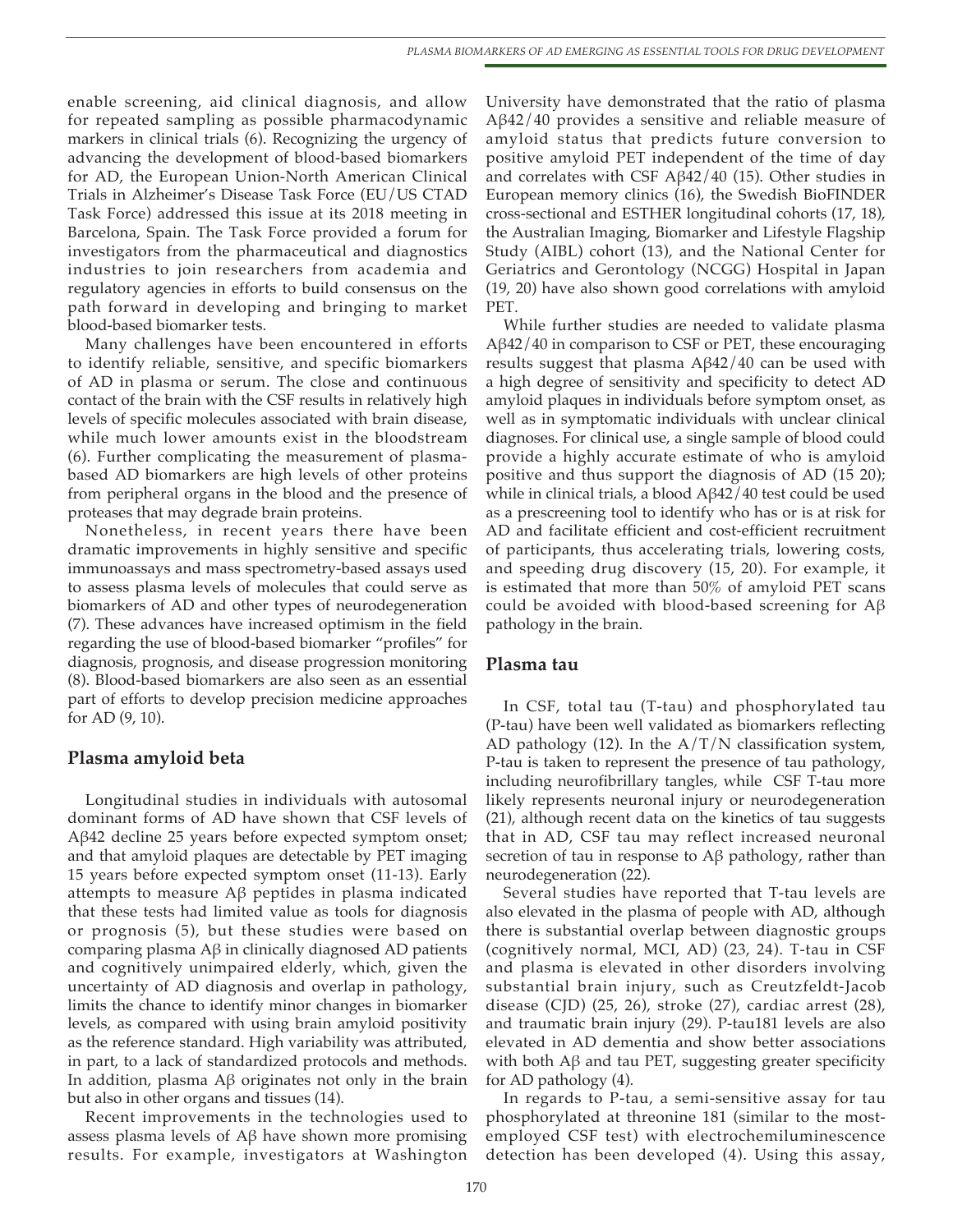enable screening, aid clinical diagnosis, and allow for repeated sampling as possible pharmacodynamic markers in clinical trials (6). Recognizing the urgency of advancing the development of blood-based biomarkers for AD, the European Union-North American Clinical Trials in Alzheimer's Disease Task Force (EU/US CTAD Task Force) addressed this issue at its 2018 meeting in Barcelona, Spain. The Task Force provided a forum for investigators from the pharmaceutical and diagnostics industries to join researchers from academia and regulatory agencies in efforts to build consensus on the path forward in developing and bringing to market blood-based biomarker tests.

Many challenges have been encountered in efforts to identify reliable, sensitive, and specific biomarkers of AD in plasma or serum. The close and continuous contact of the brain with the CSF results in relatively high levels of specific molecules associated with brain disease, while much lower amounts exist in the bloodstream (6). Further complicating the measurement of plasmabased AD biomarkers are high levels of other proteins from peripheral organs in the blood and the presence of proteases that may degrade brain proteins.

Nonetheless, in recent years there have been dramatic improvements in highly sensitive and specific immunoassays and mass spectrometry-based assays used to assess plasma levels of molecules that could serve as biomarkers of AD and other types of neurodegeneration (7). These advances have increased optimism in the field regarding the use of blood-based biomarker "profiles" for diagnosis, prognosis, and disease progression monitoring (8). Blood-based biomarkers are also seen as an essential part of efforts to develop precision medicine approaches for AD (9, 10).

#### **Plasma amyloid beta**

Longitudinal studies in individuals with autosomal dominant forms of AD have shown that CSF levels of Aβ42 decline 25 years before expected symptom onset; and that amyloid plaques are detectable by PET imaging 15 years before expected symptom onset (11-13). Early attempts to measure Aβ peptides in plasma indicated that these tests had limited value as tools for diagnosis or prognosis (5), but these studies were based on comparing plasma Aβ in clinically diagnosed AD patients and cognitively unimpaired elderly, which, given the uncertainty of AD diagnosis and overlap in pathology, limits the chance to identify minor changes in biomarker levels, as compared with using brain amyloid positivity as the reference standard. High variability was attributed, in part, to a lack of standardized protocols and methods. In addition, plasma Aβ originates not only in the brain but also in other organs and tissues (14).

Recent improvements in the technologies used to assess plasma levels of Aβ have shown more promising results. For example, investigators at Washington University have demonstrated that the ratio of plasma Aβ42/40 provides a sensitive and reliable measure of amyloid status that predicts future conversion to positive amyloid PET independent of the time of day and correlates with CSF  $A\beta$ 42/40 (15). Other studies in European memory clinics (16), the Swedish BioFINDER cross-sectional and ESTHER longitudinal cohorts (17, 18), the Australian Imaging, Biomarker and Lifestyle Flagship Study (AIBL) cohort (13), and the National Center for Geriatrics and Gerontology (NCGG) Hospital in Japan (19, 20) have also shown good correlations with amyloid PET.

While further studies are needed to validate plasma Aβ42/40 in comparison to CSF or PET, these encouraging results suggest that plasma Aβ42/40 can be used with a high degree of sensitivity and specificity to detect AD amyloid plaques in individuals before symptom onset, as well as in symptomatic individuals with unclear clinical diagnoses. For clinical use, a single sample of blood could provide a highly accurate estimate of who is amyloid positive and thus support the diagnosis of AD (15 20); while in clinical trials, a blood Aβ42/40 test could be used as a prescreening tool to identify who has or is at risk for AD and facilitate efficient and cost-efficient recruitment of participants, thus accelerating trials, lowering costs, and speeding drug discovery (15, 20). For example, it is estimated that more than 50% of amyloid PET scans could be avoided with blood-based screening for Aβ pathology in the brain.

#### **Plasma tau**

In CSF, total tau (T-tau) and phosphorylated tau (P-tau) have been well validated as biomarkers reflecting AD pathology (12). In the  $A/T/N$  classification system, P-tau is taken to represent the presence of tau pathology, including neurofibrillary tangles, while CSF T-tau more likely represents neuronal injury or neurodegeneration (21), although recent data on the kinetics of tau suggests that in AD, CSF tau may reflect increased neuronal secretion of tau in response to Aβ pathology, rather than neurodegeneration (22).

Several studies have reported that T-tau levels are also elevated in the plasma of people with AD, although there is substantial overlap between diagnostic groups (cognitively normal, MCI, AD) (23, 24). T-tau in CSF and plasma is elevated in other disorders involving substantial brain injury, such as Creutzfeldt-Jacob disease (CJD) (25, 26), stroke (27), cardiac arrest (28), and traumatic brain injury (29). P-tau181 levels are also elevated in AD dementia and show better associations with both  $\text{A}β$  and tau PET, suggesting greater specificity for AD pathology (4).

In regards to P-tau, a semi-sensitive assay for tau phosphorylated at threonine 181 (similar to the mostemployed CSF test) with electrochemiluminescence detection has been developed (4). Using this assay,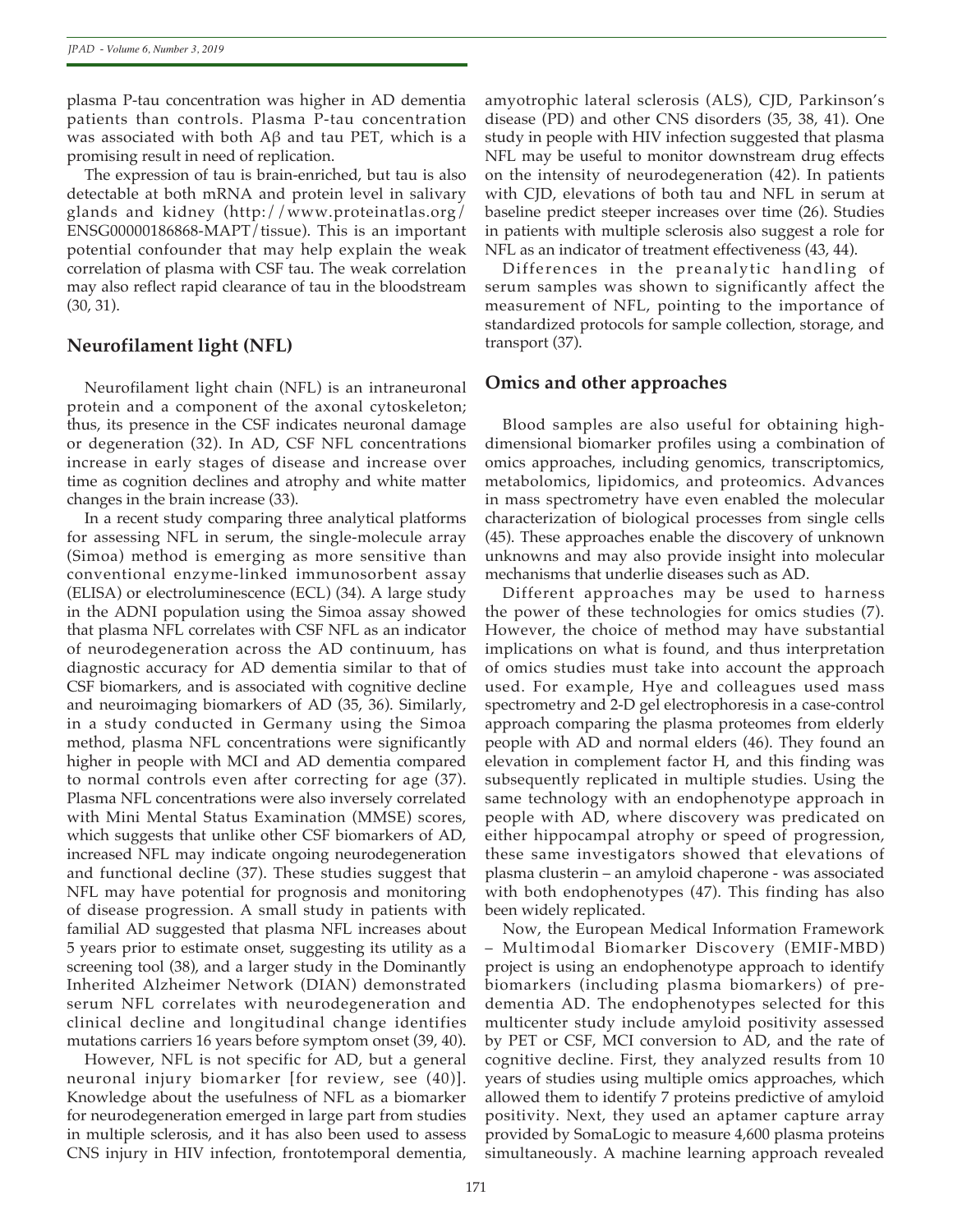plasma P-tau concentration was higher in AD dementia patients than controls. Plasma P-tau concentration was associated with both Aβ and tau PET, which is a promising result in need of replication.

The expression of tau is brain-enriched, but tau is also detectable at both mRNA and protein level in salivary glands and kidney (http://www.proteinatlas.org/ ENSG00000186868-MAPT/tissue). This is an important potential confounder that may help explain the weak correlation of plasma with CSF tau. The weak correlation may also reflect rapid clearance of tau in the bloodstream (30, 31).

# **Neurofilament light (NFL)**

Neurofilament light chain (NFL) is an intraneuronal protein and a component of the axonal cytoskeleton; thus, its presence in the CSF indicates neuronal damage or degeneration (32). In AD, CSF NFL concentrations increase in early stages of disease and increase over time as cognition declines and atrophy and white matter changes in the brain increase (33).

In a recent study comparing three analytical platforms for assessing NFL in serum, the single-molecule array (Simoa) method is emerging as more sensitive than conventional enzyme-linked immunosorbent assay (ELISA) or electroluminescence (ECL) (34). A large study in the ADNI population using the Simoa assay showed that plasma NFL correlates with CSF NFL as an indicator of neurodegeneration across the AD continuum, has diagnostic accuracy for AD dementia similar to that of CSF biomarkers, and is associated with cognitive decline and neuroimaging biomarkers of AD (35, 36). Similarly, in a study conducted in Germany using the Simoa method, plasma NFL concentrations were significantly higher in people with MCI and AD dementia compared to normal controls even after correcting for age (37). Plasma NFL concentrations were also inversely correlated with Mini Mental Status Examination (MMSE) scores, which suggests that unlike other CSF biomarkers of AD, increased NFL may indicate ongoing neurodegeneration and functional decline (37). These studies suggest that NFL may have potential for prognosis and monitoring of disease progression. A small study in patients with familial AD suggested that plasma NFL increases about 5 years prior to estimate onset, suggesting its utility as a screening tool (38), and a larger study in the Dominantly Inherited Alzheimer Network (DIAN) demonstrated serum NFL correlates with neurodegeneration and clinical decline and longitudinal change identifies mutations carriers 16 years before symptom onset (39, 40).

However, NFL is not specific for AD, but a general neuronal injury biomarker [for review, see (40)]. Knowledge about the usefulness of NFL as a biomarker for neurodegeneration emerged in large part from studies in multiple sclerosis, and it has also been used to assess CNS injury in HIV infection, frontotemporal dementia,

amyotrophic lateral sclerosis (ALS), CJD, Parkinson's disease (PD) and other CNS disorders (35, 38, 41). One study in people with HIV infection suggested that plasma NFL may be useful to monitor downstream drug effects on the intensity of neurodegeneration (42). In patients with CJD, elevations of both tau and NFL in serum at baseline predict steeper increases over time (26). Studies in patients with multiple sclerosis also suggest a role for NFL as an indicator of treatment effectiveness (43, 44).

Differences in the preanalytic handling of serum samples was shown to significantly affect the measurement of NFL, pointing to the importance of standardized protocols for sample collection, storage, and transport (37).

# **Omics and other approaches**

Blood samples are also useful for obtaining highdimensional biomarker profiles using a combination of omics approaches, including genomics, transcriptomics, metabolomics, lipidomics, and proteomics. Advances in mass spectrometry have even enabled the molecular characterization of biological processes from single cells (45). These approaches enable the discovery of unknown unknowns and may also provide insight into molecular mechanisms that underlie diseases such as AD.

Different approaches may be used to harness the power of these technologies for omics studies (7). However, the choice of method may have substantial implications on what is found, and thus interpretation of omics studies must take into account the approach used. For example, Hye and colleagues used mass spectrometry and 2-D gel electrophoresis in a case-control approach comparing the plasma proteomes from elderly people with AD and normal elders (46). They found an elevation in complement factor H, and this finding was subsequently replicated in multiple studies. Using the same technology with an endophenotype approach in people with AD, where discovery was predicated on either hippocampal atrophy or speed of progression, these same investigators showed that elevations of plasma clusterin – an amyloid chaperone - was associated with both endophenotypes (47). This finding has also been widely replicated.

Now, the European Medical Information Framework – Multimodal Biomarker Discovery (EMIF-MBD) project is using an endophenotype approach to identify biomarkers (including plasma biomarkers) of predementia AD. The endophenotypes selected for this multicenter study include amyloid positivity assessed by PET or CSF, MCI conversion to AD, and the rate of cognitive decline. First, they analyzed results from 10 years of studies using multiple omics approaches, which allowed them to identify 7 proteins predictive of amyloid positivity. Next, they used an aptamer capture array provided by SomaLogic to measure 4,600 plasma proteins simultaneously. A machine learning approach revealed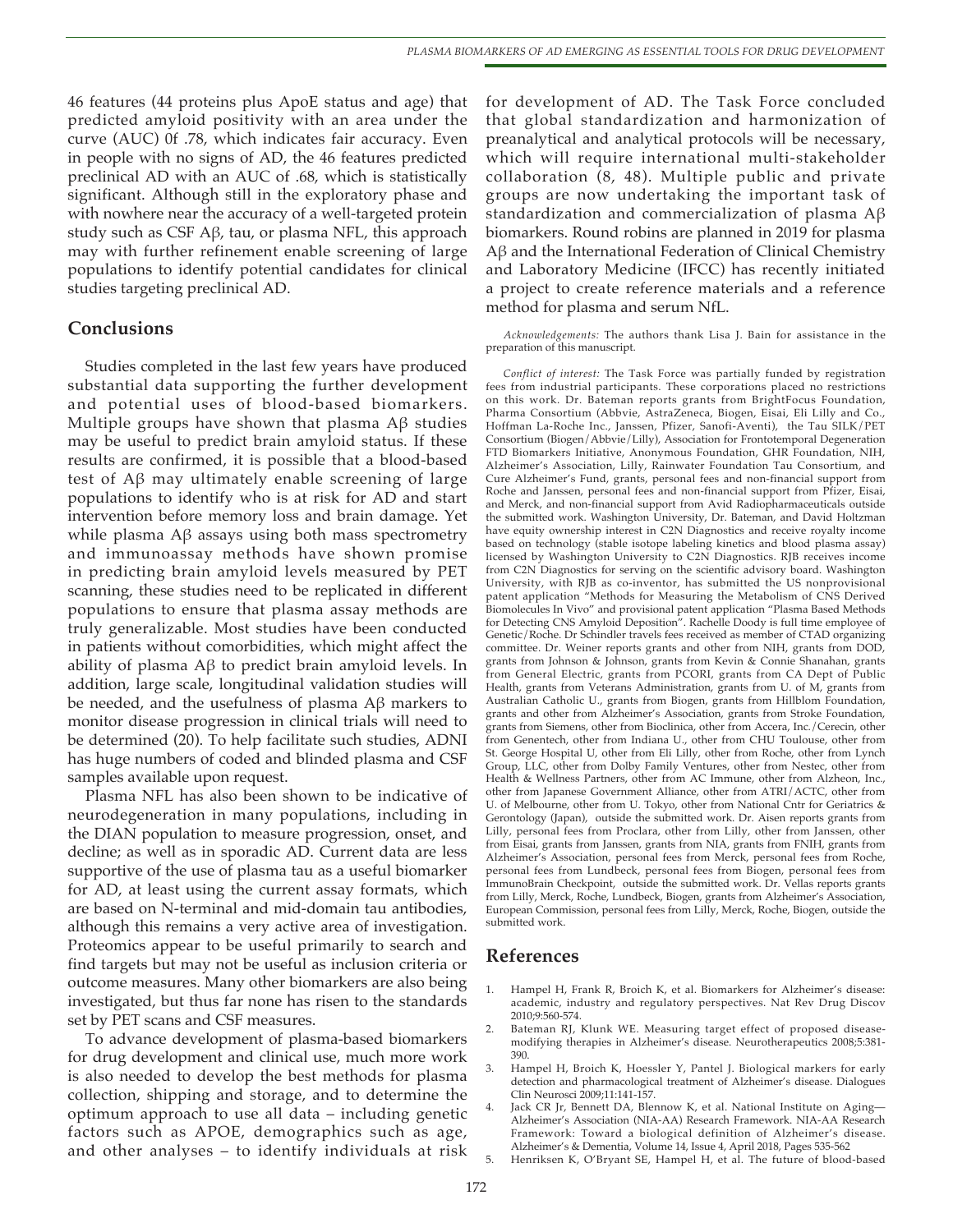46 features (44 proteins plus ApoE status and age) that predicted amyloid positivity with an area under the curve (AUC) 0f .78, which indicates fair accuracy. Even in people with no signs of AD, the 46 features predicted preclinical AD with an AUC of .68, which is statistically significant. Although still in the exploratory phase and with nowhere near the accuracy of a well-targeted protein study such as CSF Aβ, tau, or plasma NFL, this approach may with further refinement enable screening of large populations to identify potential candidates for clinical studies targeting preclinical AD.

## **Conclusions**

Studies completed in the last few years have produced substantial data supporting the further development and potential uses of blood-based biomarkers. Multiple groups have shown that plasma Aβ studies may be useful to predict brain amyloid status. If these results are confirmed, it is possible that a blood-based test of Aβ may ultimately enable screening of large populations to identify who is at risk for AD and start intervention before memory loss and brain damage. Yet while plasma Aβ assays using both mass spectrometry and immunoassay methods have shown promise in predicting brain amyloid levels measured by PET scanning, these studies need to be replicated in different populations to ensure that plasma assay methods are truly generalizable. Most studies have been conducted in patients without comorbidities, which might affect the ability of plasma Aβ to predict brain amyloid levels. In addition, large scale, longitudinal validation studies will be needed, and the usefulness of plasma Aβ markers to monitor disease progression in clinical trials will need to be determined (20). To help facilitate such studies, ADNI has huge numbers of coded and blinded plasma and CSF samples available upon request.

Plasma NFL has also been shown to be indicative of neurodegeneration in many populations, including in the DIAN population to measure progression, onset, and decline; as well as in sporadic AD. Current data are less supportive of the use of plasma tau as a useful biomarker for AD, at least using the current assay formats, which are based on N-terminal and mid-domain tau antibodies, although this remains a very active area of investigation. Proteomics appear to be useful primarily to search and find targets but may not be useful as inclusion criteria or outcome measures. Many other biomarkers are also being investigated, but thus far none has risen to the standards set by PET scans and CSF measures.

To advance development of plasma-based biomarkers for drug development and clinical use, much more work is also needed to develop the best methods for plasma collection, shipping and storage, and to determine the optimum approach to use all data – including genetic factors such as APOE, demographics such as age, and other analyses – to identify individuals at risk

for development of AD. The Task Force concluded that global standardization and harmonization of preanalytical and analytical protocols will be necessary, which will require international multi-stakeholder collaboration (8, 48). Multiple public and private groups are now undertaking the important task of standardization and commercialization of plasma Aβ biomarkers. Round robins are planned in 2019 for plasma Aβ and the International Federation of Clinical Chemistry and Laboratory Medicine (IFCC) has recently initiated a project to create reference materials and a reference method for plasma and serum NfL.

*Acknowledgements:* The authors thank Lisa J. Bain for assistance in the preparation of this manuscript.

*Conflict of interest:* The Task Force was partially funded by registration fees from industrial participants. These corporations placed no restrictions on this work. Dr. Bateman reports grants from BrightFocus Foundation, Pharma Consortium (Abbvie, AstraZeneca, Biogen, Eisai, Eli Lilly and Co., Hoffman La-Roche Inc., Janssen, Pfizer, Sanofi-Aventi), the Tau SILK/PET Consortium (Biogen/Abbvie/Lilly), Association for Frontotemporal Degeneration FTD Biomarkers Initiative, Anonymous Foundation, GHR Foundation, NIH, Alzheimer's Association, Lilly, Rainwater Foundation Tau Consortium, and Cure Alzheimer's Fund, grants, personal fees and non-financial support from Roche and Janssen, personal fees and non-financial support from Pfizer, Eisai, and Merck, and non-financial support from Avid Radiopharmaceuticals outside the submitted work. Washington University, Dr. Bateman, and David Holtzman have equity ownership interest in C2N Diagnostics and receive royalty income based on technology (stable isotope labeling kinetics and blood plasma assay) licensed by Washington University to C2N Diagnostics. RJB receives income from C2N Diagnostics for serving on the scientific advisory board. Washington University, with RJB as co-inventor, has submitted the US nonprovisional patent application "Methods for Measuring the Metabolism of CNS Derived Biomolecules In Vivo" and provisional patent application "Plasma Based Methods for Detecting CNS Amyloid Deposition". Rachelle Doody is full time employee of Genetic/Roche. Dr Schindler travels fees received as member of CTAD organizing committee. Dr. Weiner reports grants and other from NIH, grants from DOD, grants from Johnson & Johnson, grants from Kevin & Connie Shanahan, grants from General Electric, grants from PCORI, grants from CA Dept of Public Health, grants from Veterans Administration, grants from U. of M, grants from Australian Catholic U., grants from Biogen, grants from Hillblom Foundation, grants and other from Alzheimer's Association, grants from Stroke Foundation, grants from Siemens, other from Bioclinica, other from Accera, Inc./Cerecin, other from Genentech, other from Indiana U., other from CHU Toulouse, other from St. George Hospital U, other from Eli Lilly, other from Roche, other from Lynch Group, LLC, other from Dolby Family Ventures, other from Nestec, other from Health & Wellness Partners, other from AC Immune, other from Alzheon, Inc., other from Japanese Government Alliance, other from ATRI/ACTC, other from U. of Melbourne, other from U. Tokyo, other from National Cntr for Geriatrics & Gerontology (Japan), outside the submitted work. Dr. Aisen reports grants from Lilly, personal fees from Proclara, other from Lilly, other from Janssen, other from Eisai, grants from Janssen, grants from NIA, grants from FNIH, grants from Alzheimer's Association, personal fees from Merck, personal fees from Roche, personal fees from Lundbeck, personal fees from Biogen, personal fees from ImmunoBrain Checkpoint, outside the submitted work. Dr. Vellas reports grants from Lilly, Merck, Roche, Lundbeck, Biogen, grants from Alzheimer's Association, European Commission, personal fees from Lilly, Merck, Roche, Biogen, outside the submitted work.

## **References**

- Hampel H, Frank R, Broich K, et al. Biomarkers for Alzheimer's disease: academic, industry and regulatory perspectives. Nat Rev Drug Discov 2010;9:560-574.
- 2. Bateman RJ, Klunk WE. Measuring target effect of proposed diseasemodifying therapies in Alzheimer's disease. Neurotherapeutics 2008;5:381- 390.
- 3. Hampel H, Broich K, Hoessler Y, Pantel J. Biological markers for early detection and pharmacological treatment of Alzheimer's disease. Dialogues Clin Neurosci 2009;11:141-157.
- Jack CR Jr, Bennett DA, Blennow K, et al. National Institute on Aging-Alzheimer's Association (NIA-AA) Research Framework. NIA-AA Research Framework: Toward a biological definition of Alzheimer's disease. Alzheimer's & Dementia, Volume 14, Issue 4, April 2018, Pages 535-562
- 5. Henriksen K, O'Bryant SE, Hampel H, et al. The future of blood-based